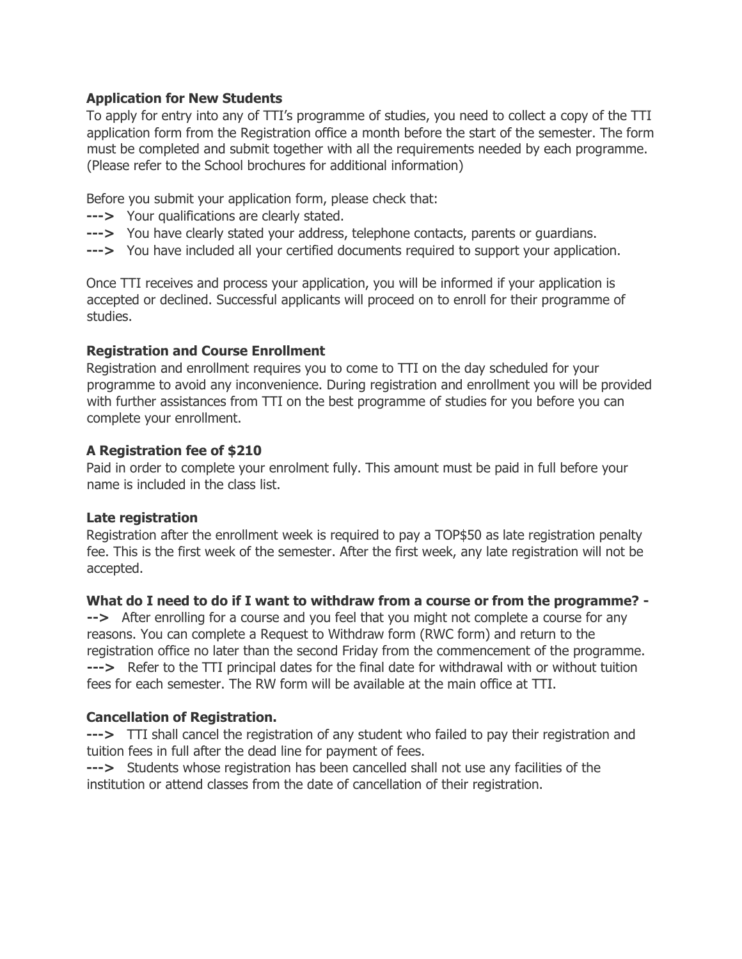# **Application for New Students**

To apply for entry into any of TTI's programme of studies, you need to collect a copy of the TTI application form from the Registration office a month before the start of the semester. The form must be completed and submit together with all the requirements needed by each programme. (Please refer to the School brochures for additional information)

Before you submit your application form, please check that:

- **--->** Your qualifications are clearly stated.
- **--->** You have clearly stated your address, telephone contacts, parents or guardians.
- **--->** You have included all your certified documents required to support your application.

Once TTI receives and process your application, you will be informed if your application is accepted or declined. Successful applicants will proceed on to enroll for their programme of studies.

## **Registration and Course Enrollment**

Registration and enrollment requires you to come to TTI on the day scheduled for your programme to avoid any inconvenience. During registration and enrollment you will be provided with further assistances from TTI on the best programme of studies for you before you can complete your enrollment.

## **A Registration fee of \$210**

Paid in order to complete your enrolment fully. This amount must be paid in full before your name is included in the class list.

## **Late registration**

Registration after the enrollment week is required to pay a TOP\$50 as late registration penalty fee. This is the first week of the semester. After the first week, any late registration will not be accepted.

## **What do I need to do if I want to withdraw from a course or from the programme? -**

**-->** After enrolling for a course and you feel that you might not complete a course for any reasons. You can complete a Request to Withdraw form (RWC form) and return to the registration office no later than the second Friday from the commencement of the programme. **--->** Refer to the TTI principal dates for the final date for withdrawal with or without tuition fees for each semester. The RW form will be available at the main office at TTI.

## **Cancellation of Registration.**

**--->** TTI shall cancel the registration of any student who failed to pay their registration and tuition fees in full after the dead line for payment of fees.

**--->** Students whose registration has been cancelled shall not use any facilities of the institution or attend classes from the date of cancellation of their registration.